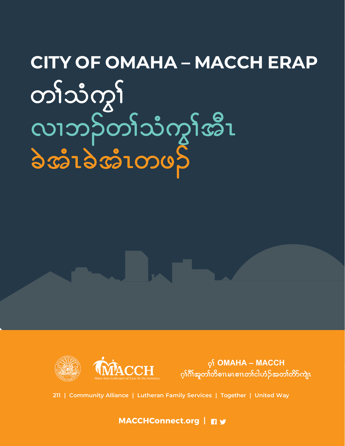# **CITY OF OMAHA – MACCH ERAP** တါ်သံကွ<sup>ှ</sup><br>လၢဘဉ်တါ်သံကွ<sup>ှ</sup>အီၤ<br>ခဲအံၤခဲအံၤတဖဉ်



 $\circ$  **OMAHA – MACCH**  $\cdot$ ဂ့ါဂိါအူတ၊်တိစၢၤမၤစၢၤတ၊်ငါဟံဉ်အတ၊်တိာ်ကျဲၤ

**211 | Community Alliance | Lutheran Family Services | Together | United Way**

**MACCHConnect.org |**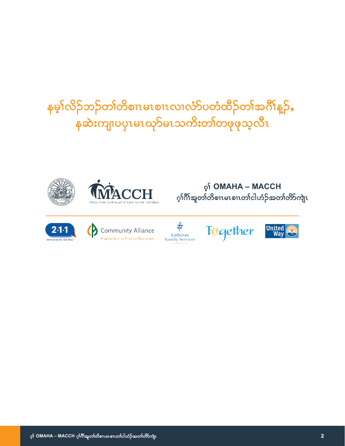# နမ့္ပ်လိုဉ်ဘဉ်တက်ိစားမာစားလာလံာ်ပတံထိဉ်တ၊်အင်္ဂါန္ ဉ်ႇ နဆဲးကျ၊ပပုၤမၤၰာ်မၤသကိးတၢ်တဖုဖုသ့လီၤ















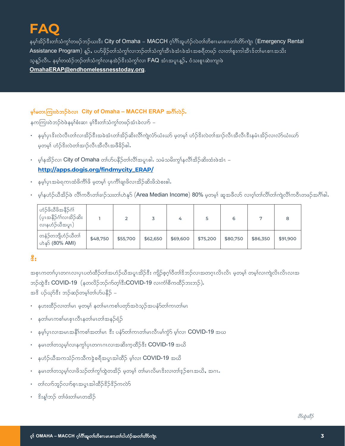# 5A 0

နမ့ $\hat{c}$ အိဉ်ဒီးတါသံကွ $\hat{c}$ တဖဉ်ဘဉ်ယးဒီး City of Omaha – MACCH ဂ့ါဂိါအူဟံဉ်လဲတါတိစၤမၤစၢၤတါတိ $\hat{c}$ ဘဲဂျဲ၊  $\hat{c}$  Emergency Rental Assistance Program) နူဉ်, ပဟိဖိုဉ်တါသံကွါလၢဘဉ်တါသံကွါအီၤခဲအံၤခဲအံၤအစရိတဖဉ် လ၊တါစူးကါအီၤဒ်တါမၤစၢၤအသိး သူန္ဉာလီၤႉ နမ္1တထံဉ်ဘဉ်တၢ်သံကွၤ်လၢနအဲဉ်ဒိးသံကွၤ်လ၊ FAQ အံၤအပူၤန္ဉာ်, ဝံသးစူၤဆဲးကျ၊ဖဲ OmahaERAP@endhomelessnesstoday.org.

#### မှန်မတာကြိုးဝဲဘဉ်ဝဲလ၊ City of Omaha - MACCH ERAP အင်္ဂါလဲဉ်.

နကကြးးဝဲဘဉ်ဝဲဖဲနမ့္ပ်စီးဆ၊ မ့္ပ်ဒီးတၤ်သံကွၤ်တဖဉ်အံၤခဲလၢာ် –

- နမ့္ပ်ပုၤဒိးလဲလီၤတၤ်လၢအိဉ်ဒီးအခဲအံၤတၢ်အိဉ်ဆိးလိၤ်ကျဲလ်ာယံးယာ် မ့တမ့္ပ် ဟဉ်ဒိးလဲတၤ်အ၊ဉ်လီၤအီလီၤဒီးနမံၤအိဉ်လ၊လ်ာယံးယာ မှတမှ) ဟံဉ်ဒိးလဲတါအၢဉ်လီၤအီလီၤအဖီခိဉ်ဓါ.
- မှန်အိဉ်လ၊ City of Omaha တ၊်ဟ်ပနိဉ်တ၊်လိ၊်အပူၤဓါ. သမံသမိးကျွှန်လိ၊်အိဉ်ဆိးထံးဖဲအံၤ http://apps.dogis.org/findmycity\_ERAP/
- နမ္နပုံပုအမဲရကၤထံဖိကိၢိဖိ မှတမ္န၊် ပုၤကိၢ်ချ၊ဖိလၢအိဉ်ဆိးဖိသဲစးဓါ.
- မှါနဟ်ဉ်ယီအိဉ်ဖဲ လိၢိကဝိၤတါခၢဉ်သးတါဟဲနှ $\mathcal S$  (Area Median Income) 80% မှတမှါ ဆူအဖိလာ် လၢဝ့ါတါတိါတါကျဲလိၢိကဝိၤတဖဉ်အဂိၢိဓါ.

| ဟံ့်ပိုပိုပိုပို့အနိုဉ်ဂျ်<br>(ပုၤအနိဉ်ဂံၤ်လၢအိဉ်ဆိး<br>လၢနဟံဉ်ယီအပူၤ) |          |          |          |          |          | 6        |          |          |
|------------------------------------------------------------------------|----------|----------|----------|----------|----------|----------|----------|----------|
| တနံဉ်တဘျိဟံဉ်ယီတ၊်<br>ဟဲန <u>္</u> သိ (80% AMI)                        | \$48,750 | \$55,700 | \$62,650 | \$69,600 | \$75,200 | \$80,750 | \$86,350 | \$91,900 |

# $\delta$ :

အစုၤကတၢါပုၤတဂၤလၢပုၤပတံထိဉ်တၢ်အဟံဉ်ယီအပူၤအိဉ်ဒီး ကျိဉ်စ့ဂ္ဒ္ပါဝီတၢ်ဒိဘဉ်လၢအတဂူၤလိၤလိၤ မူတမ္န၊် တမ္န၊်လၢကျဲလိၤလိၤလ၊အ ဘဉ်ထွဲဒီး COVID-19 (နတလိဉ်ဘဉ်က်တ္iိဒီးCOVID-19 လၢကံၢ်စီကထိဉ်ဘးဘဉ်). အၖိ ပဉ်ယှာ်ဒီး ဘဉ်ဆဉ်တမ့ၢ်တၢ်ဟ်ပနိဉ် –

- နဟးထိဉ်လ၊တၢ်မၤ မှတမှ) နတၢ်မၤကစၢ်ပတှာ်အဝဲသွဉ်အပနံာ်တၢ်ကၤတၢ်မၤ
- နတၢ်မၤကစၢ်မၤစုၤလီၤနတၢ်မၤတၢ်အနဉ်ရံဉ်
- နမ္နပ္ပ်ံပုံးလ္ပုံအမွဴးအစားအတာမွာ ဒီး ပန္နာလာကားတာမွာလုံးမွာလုံး ပုံလုံး COVID-19 အယ
- ・ နမၤတၢ်တသူမှၤ်လၢနက္ဂါပုၤတဂၤဂၤလၢအဆိးက္နထိဉ်ဒီး COVID-19 အယိ
- နဟံဉ်ယီအကသံဉ်ကသီကဒဲ့စရီအပူၤအါထိဉ် မ့္လ်လ၊ **COVID-19** အယိ
- နမၤတၢ်တသ့မှၤ်လ၊ဖိသဉ်တၢ်ကွၤ်ထွဲတအိဉ် မှတမှၤ် တ၊်မၤလိမၤဒိးလ၊တၢ်ဒ့ဉ်စၢၤအယိႇ အဂၤ
- တၢဴလၢာ်ဘူဉ်လၢာ်စ္နယ္မွာအပူးအထိုဥစ္မွ ဦးဥစ္မည္နယ္မွာ
- … နိုးန္1်ဘ္၌ တျဖဴးတ္ပါမၤတအိ၌

850085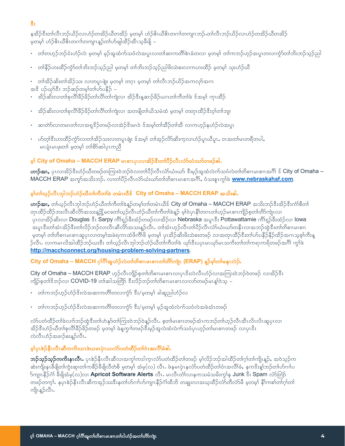# ိဳ:

နအိဉ်ဒီးတ၊်လီၤဘဉ်ယိဉ်လ၊ဟံဉ်တအိဉ်ယိတအိဉ် မ့တမ့၊် ဟံဉ်ဓိၤယိဓိၤတဂၢၢ်တကျၤဘဉ်ႉတၢ်လီၤဘဉ်ယိဉ်လ၊ဟံဉ်တအိဉ်ယိတအိဉ် မှတမှ) ဟံဉ်ဓိၤယိဓိၤတဂၢၢ်တကျၤန္ဉာ်တၤ်ဟ်ဖျါထိဉ်အီၤသ္ဓခရှိ –

- တၢ်တဟ္ဥ်ဘဉ်ဒုံးဟုံဥလဲ မှတမှု၊် မှဉ်အူထံက်သဝံလဲအပူးလ၊တၢ်ဆ၊ကတိ၊်စဲၤခံတလ၊ မှတမှ၊် တၢ်ကဘဉ်ဟွဉ်အပူးတလ၊ကွဲ၁်တၢ်ဘိးဘဉ်သူဉ်ညါ
- တါနိဉ်ဟးထိဉ်ကွဲ၁်တါဘိးဘဉ်သူဉ်ညါ မ့တမ့ါ တါဘိးဘဉ်သူဉ်ညါဖိးသဲစးလၢကဟးထိဉ် မ့တမ့ါ သုးဟံဉ်ယီ
- တ၊်အိဉ်ဆိးတ၊်အိဉ်သး လ၊တပူၤဖျဲး မှတမ္၊် တဂ္ၤ မှတမ္၊် တ၊်လီၤဘဉ်ယိဉ်အကလှာ်အဂၤ အၖိ ပဉ်ယှာ်ဒီး ဘဉ်ဆဉ်တမ့ၢ်တၢ်ပာ်ပနိဉ် –
- - အိဉ်ဆိးလ၊တၢ်စုလိၢိခိဉ်ခိဉ်တ၊်လိၢ်တ၊်ကျဲလ၊ အိဉ်ဒီးနူဆၢဉ်ခိဉ်ယၢၤတ၊်ကီတ၊်ခဲ ဒ်အမှ၊် ကုၤထိဉ်
- အိဉ်ဆိးလ၊တၢ်စုလိၢိခိဉ်ခိဉ်တ၊်လိ၊်တ၊်ကျဲလ၊ အတဖျိတ၊်ယိသမံထံ မ့တမ့၊် တတုၤထိဉ်ဒီးဝ့၊်တ၊်ဘျ၊
- ဆ၊တဲာ်လ၊တမၤတၢ်လ၊အရှုဒိဉ်တဖဉ်လ၊အဲဉ်ဒိုးမၤဝဲ ဒ်အမ္]တၢ်အီဉ်တၢ်အီ လ၊ကဟ္ဥနဟံဉ်လဲအပုၤ
- ဟ်တုံးီးဟးထိဉ်ကွဲာ်လ၊တါအိဉ်သးလ၊တပူးဖျဲး ဒ်အမှါ တါအ့ဉ်လိာ်ဆိးကူလ၊ဟံဉ်ပူးယိပူး, ၀ၤအတါမၤတရီတပါ, မၤပျံၤမၤဖုးတ၊် မ့တမ့)် တ၊ိစိၥ်ဆါပုၤကညီ

# မ္န**် City of Omaha – MACCH ERAP** မၤစၢၤပုၤလ၊အိဉ်စီးတၢိပိဉ်လီၤလံာ်ယံးယာ်တဖဉ်ဓါ.

ဟာဉ်အာ, ပုၤလၢအိဉ်ဒီးဟံဉ်ယီတဖဉ်တကြး၀ဲဘဉ်၀ဲလ၊တါပိဉ်လီၤလ်ာ်ယံးယာ် ဒီးမှဉ်အူထံလဲက်သဝံလဲတ၊်တိစၢၤမၤစၢၤအဂိါ ဒ် City of Omaha – MACCH ERAP အကု§အသိးဘဉ်. လ၊တၢ်ပီဉ်လီၤလံာ်ယံးယာ်တ၊်တိစၤမၤစၢၤအဂိါ, ဝံသးစူၤကွၢ်ဖဲ www.nebraskahaf.com.

# မ္နက္ခြယ္မွ်ာလီးသုဘြွယ္နဲ႕သူတပါတ္ပါတ္ပါတ္ပါတ္ပါတယ္။ City of Omaha – MACCH ERAP အသိုးေပါ.

ဟာဉ်အာ, တါယူဉ်လီၤဘုါဘဉ်ဟံဉ်ယီတါကီတါခဲန္ဥာတမ့္ပ်တ္ပါတမံၤယီဒ် City of Omaha – MACCH ERAP အသိးဘဉ်ဒီးအိဉ်ဒီးကံ)စိတါ တုၤထိဉ်ထိဉ်ဘးလိၤဆိလိာ်အသးန္ဥှို့မငတေါ်ယှဉ်လီၤဟံဉ်ယီတၢ်ကီတၢ်ခဲန့္ဉ် မှါဝဲပုၤနိၢ်တဂၤတၢ်ဟ္ဉ်မၤစၢၤကျိဉ်စ့တၢ်တိာ်ကျဲၤလၢ ပုၤလၢအိဉ်ဆိးလ၊ Douglas ဒီး Sarpy ကိၢိရ္ခဉ်ခီးထံဉ်တဖဉ်လ၊အိဉ်လ၊ Nebraska အပူၤဒီး Pottawattamie ကိၢ်ရှဉ်ခီးထံဉ်လ၊ lowa အပူၤဒီးတၢ်အံၤအိဉ်ဒီးတ၊်လိဉ်ဘဉ်လ၊လီၤဆီလိ႒်အသးန္ဥာလီၤႉ တ၊်အံၤဟ္ဥာလီၤတ၊်ပိဉ်လီၤလံာ်ယံးယာ်တနီၤလ၊အဘဉ်ထွဲဒီးတ၊်တိစၢၤမၤစၢၤ မှတမ့)် တါတိစၢၤမၤစၢၤဆူပုၤလ၊တမ့္ပ်အမဲရကၤထံဖိကိါဖိ မှတမ့္ပ် ပုၤအိဉ်ဆိးဖိးသဲစးတဖဉ် လၢအတုၤထိဉ်ဒီးတ၊်ဟ်ပနိဉ်နိဉ်ထိဉ်အဂၤသ့စ့္က်ားန္ ဉ်လီၤႉ လၢကမၤလိအါထိဉ်ဘဉ်ဃးဒီး တါယ့ဉ်လီၤဘုါဘဉ်ဟံဉ်ယီတၢ်ကီတၢ်ခဲ ယှာ်ဒီးပပုၤမၤယှာ်မၤသကိးတ၊်တ၊်ကရၢကရိတဖဉ်အင်္ဂါ ကွၢ်ဖဲ http://macchconnect.org/housing-problem-solving-partners.

# City of Omaha – MACCH ဂ့ါဂိါအူဟံဉ်လဲတါတိစၢၤမၤစၢၤတါတိာ်ကျဲ။ (ERAP) န္<sup>ဉ်</sup>မ္န္မါတါမနုၤလဲဉ်.

City of Omaha – MACCH ERAP ဟုဉ်လီးကျိဉ်စုတ၊်တိစၢၤမၤစၢၤလ၊ပုၤဒိးလဲလီးဟံဉ်လ၊အကြား၀ဲဘဉ်၀ဲတဖဉ် လ၊အိဉ်ဒီး ကျိဉ်စုတ၊်ဒိဘဉ်လ၊ **COVID-19** တ၊်ဆါသတြိာ ဒီးလိဉ်ဘဉ်တ၊်တိစၢၤမၤစၢၤလ၊လာ်တဖဉ်မၤန္န၊်ဝဲသူ –

- တ၊်ကဘဉ်ဟုဉ်ဟံဉ်ဒိးလဲအဆၢကတိၢ်တလၢကွံာ် ဒီး/မှတမှါ ခါဆူညါဟံဉ်လ
- တ၊်ကဘဉ်ဟ္ဥ်ဟံဥ်ဒိးလဲအဆၢကတိၢ်တလၢကဲ့ဉ် ဒီး/မှတမှ၊် မှဉ်အူထံလဲက်သဝံလဲအခဲအံၤတဖဉ်

လံာ်ပတံထိဉ်တၢ်ခဲလၢာ်ဘဉ်ထွဲဒီးတၢ်ဟဲနှာ်တာ်ကြုးဝဲဘဉ်ဝဲန္နဉ်လီၤႉ စ့တၢ်မၤစၢၤတဖဉ်အံၤကဘဉ်တၢ်ဟ့ဉ်လီၤအီၤလိၤလိၤဆူပုၤလၢ အိဉ်ဒီးဟံဉ်ယီတၢ်စုလိၢိခိဉ်ခိဉ်တဖဉ် မူတမှ၊် မဲနူကွၢါတဖဉ်ဒီးမှဉ်အူလဲထံလဲက်သဝံပုၤဟ္ဥတၢ်မၤစၢၤတဖဉ် လၢပုၤဒိး လဲလီၤဟံဉ်အခၢဉ်စးနဉ်လီၤ.

# မှုပ်ု၊စဲဉ်နီးလီးဆီကကိုးယၤဖဲယမၤပုံးယလံာ်ပတံထိဉ်တ၊်ဝံၤအလိၢ်ခံဓါ.

**ဘဉ်သူဉ်သူဉ်ကကိႏနၤလီၤ.** ပုၤစဲဉ်နီၤလီၤဆီလၢအကွ<sup>ု</sup>ကဒါကူၤလံာ်ပတံထိဉ်တၢ်တဖဉ် မူ၊်လိဉ်ဘဉ်အါထိဉ်တၢ်ဂူ၊်တၢ်ကျိၤနူဉ်, အဝဲသူဉ်က ဆဲးကျိးနၤခီဖျိတၢ်ကွဲးဆု၊တၢ်ကစိဉ်ခီဖျိလီတဲစိ မူတမ္န၊် အံမွ $(\infty)$  လီၤ. ဖဲနမၤပုဲၤနလံာ်ပတံထိဉ်တၢ်ဝံၤအလိၢ်ခံ, နကဒိးနျ်ဘဉ်တၢ်ဟ်ဂၢၢ်ပ ာ်ကျၤနိဉ်ဂံ၊် ခီဖျိအံမ့(လ)လ၊ **Apricot Software Alerts** လီၤ. မၤလီၤတံၤ်လ၊နကသမံသမိးကွၢ်န Junk ဒီး Spam လံာ်တြံာ် တဖဉ်တက္န). နပုၤစဲဉ်နီၤလီၤဆီကအုဉ်သးဒီးနတါဟ်ဂၢၢ်ဟ်ကျၤနိဉ်ဂံၢ်ထီဘိ တချူးလၢအယ္ဒထိဉ်လံာ်တီလံာ်မီ မူတမ္ါ နိါကစါတါဂ္၊ါတါ ကျိၤန္န>ိလီၤႉ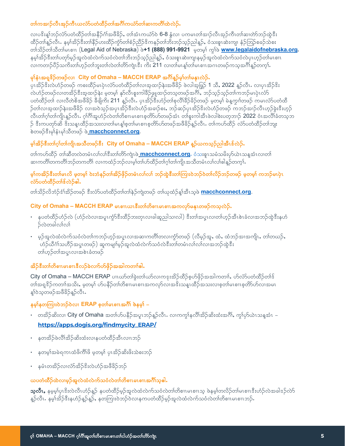#### တၢ်ကအာဉ်လီၤအုဉ်ကီၤယလံာ်ပတံထိဉ်တၢ်အဂိၢ်ကယံာ်တၢ်ဆၢကတိၢ်ထဲလဲဉ်.

လ၊ပဒိႏန္1ဘဉ်လံာ်ပတံထိဉ်တၢ်အနိဉ်ဂံ1်အဖီခိဉ်, တ၊်အံၤကယံာ်ဝဲ 6-8 နွံ့လ၊ ပကမၤတၢ်အ၊ဉ်လီၤအုဉ်ကီၤတ၊်ဆ၊တဲာ်ဘဉ်ထွဲဒီး ထိဉ်တၢ်နူဉ်လီၤႉ နမ့ၢ်အိဉ်ဒီးတၢ်နိဉ်ဟးထိဉ်ကွံာ်တၢ်စံဉ်ညိဉ်ဒိကနဉ်တၢ်ဘိးဘဉ်သုဉ်ညါနှဉ်ႇ ဝံသးစူၤဆဲးကျ၊ နံဉ်ဘြဉ်စခဉ်သဲစး တာ်သိဉ်တာ်သီတာ်မၤစၢၤ (Legal Aid of Nebraska) ဖဲ+1 (888) 991-9921 မှတမျှ ကွာ်ဖဲ www.legalaidofnebraska.org. နမ့္ပ်ထိဉ်ဒီးတ၊်ပတှာ်မှဉ်အူလဲထံလဲက်သဝံလဲတ၊်ဘိးဘဉ်သွဉ်ညါန္**ဉ်ႇ** ဝံသးစူၤဆဲးကျ၊နမ့ဉ်အူလဲထံလဲက်သဝံလဲပုၤဟ့ဉ်တ၊်မၤစၢၤ လ၊ကတၢဉ်ပိဉ်သကိးတ၊်ဟှဉ်တ၊်ဘူးတ၊်လဲတ၊်တိာ်ကျဲၤဒီး ကိး 211 လ၊တ၊်မၤန္၊်တ၊်မၤစၢၤအဂၤတဖဉ်ကသ့အဂိၢ်န္ဉာ်တက္၊်

#### မှါနံးအရှုဖို့ဉ်တဖဉ်လ၊ City of Omaha – MACCH ERAP အင်္ဂါန္ဥာမ္ခါတါမနူးလဲ့ဉ်.

ပုၤအိဉ်နီးလဲဟံဉ်တဖဉ် ကစးထိဉ်မၤပုံၤလံာ်ပတံထိဉ်တါလ၊အ့ထၢဉ်နဲးအဖိခိဉ် ဖဲလါအဖြဉ် 1 သိ, 2022 နှဉ်လိၤ. လ၊ပုၤအိဉ်နိး လဲဟံဉ်တဖဉ်လ၊တအိဉ်ဒီးအူထၢဉ်နဲး မှတမှ၊် နှာ်လီၤစူးကါခိဉ်ဖျထ၊ဉ်တသူတဖဉ်အင်္ဂါ, ဘဉ်သူဉ်သူဉ်တ၊်ကဘဉ်မၤပုံၤလံာ် ပတံထိဉ်တ၊် လ၊လီတဲစိအဖီခိဉ် ခီဖျိကိႏ 211 နူဉ်လီၤ. ပုၤအိဉ်ဒီးဟံဉ်တၢ်စုလီ၊်ခိဉ်ခိဉ်တဖဉ် မူတမှ၊် မဲနူကွၢါတဖဉ် ကမၤလံာ်ပတံထိ ဉ်တါလ၊အူထၢဉ်နဲးအဖိခိဉ် လ၊အဝဲသွဉ်အပုၤအိဉ်ဒီးလဲဟံဉ်အချဉ်စး, ဘဉ်ဆဉ်ပုၤအိဉ်ဒိးလဲဟံဉ်တဖဉ် ကဘဉ်အ၊ဉ်လီၤဟ္နဉ်ခွဲးဒီးဟူဉ လီၤတၢ်ဂ္၊်တ၊်ကျိၤန္ဉာ်လီၤႉ ဂ္၊်ဂိၢိအူဟံဉ်လဲတ၊်တိစၢၤမၤစၢစ္စတိာ်ဟ်တဖဉ်အံၤ တ၊်စူးကါအီၤဖဲလါစဲးပတ္စ္ကာ)ာ 2022 ဝံၤအလိၢ်ခံတသူဘ ဉ် ဒီးကပတှာ်ဆိ ဒိးသန္ၤထိဉ်အသးလ၊တါမၤန္]စ့တါမၤစၢၤစ့တိာ်ပာ်တဖဉ်အဖီခိဉ်န္ဥလီၤႉ တၢ်ကဟ်ထိဉ် လံာ်ပတံထိဉ်တါဘျး စဲတဖဉ်ဒီးမှၢ်နှံၤမှၢ်သိတဖဉ် ဖ<u>ဲ macchconnect.org</u>.

# မ္နက်ဆိုဒီးတာ်ဂွာတာကျိုးအသီတဖဉ်ဒီး City of Omaha – MACCH ERAP နည်ယကသူဉ်ညါအီၤဇ်လဲဉ်.

တါကဟ်ထိဉ် တါဆီတလဲတမံၤလါလါဒီးတါတိာ်ကျဲၤဖ<mark>ဲ macchconnect.org.</mark> ဝံသးစူးသမံသမိးဟ်ယဲၤသန္*ဒ*ာံၤလ၊တါ ဆၢကတိၢ်တကတိၢ်ဘဉ်တကတိၢ် လၢကထံဉ်ဘဉ်လ၊မ့ၢ်တ၊်ဟ်ထိဉ်တ၊်ဂွ၊်တ၊်ကျိၤအသိတမံၤလ၊်လ၊်ဓါန္ဉာ်တက္န၊်

#### မ့၊်ကအိဉ်ဒီးတ၊်မၤလိ မ့တမ့၊် ဝဲးဘံနဉ်တ၊်အိဉ်ဖိုဉ်တမံၤလ၊်လ၊် ဘဉ်ထွဲဒီးတ၊်ကြၢးဝဲဘဉ်ဝဲတ၊်လိဉ်ဘဉ်တဖဉ် မ့တမ့၊် ကဘဉ်မၤပုဲၤ လံာ်ပတံထိဉ်တၢ်ဒ်လဲဉ်ဓါ.

တၢ်သိဉ်လိဘံဉ်ဒံၫ်အိဉ်တဖဉ် ဒီးလံာ်ပတံထိဉ်တ၊်တ၊်နဲဉ်ကျဲတဖဉ် တ၊်ယုထံဉ်န့၊်အီၤသ္၀ဲ <mark>macchconnect.org</mark>.

#### City of Omaha – MACCH ERAP မၤစၫယားဒီးတာတိစ႑မေစ႑အေကလုပ်မန္မွၤတဖဉ်ကသူလဲဉ်.

- နပတံထိဉ်ဟံဉ်လဲ (ဟံဉ်လဲလၢအပူၤကွံာ်ဒီးထိဉ်ဘးတုၤလၢခါဆူညါသၢလါ) ဒီးတၢ်အပူၤလ၊တ၊်ဟှဉ်အီၤစဲၤခံလၢအဘဉ်ထွဲဒီးနဟံ ဉ်လဲတခါလၤ်လၤ်
- မှဉ်အူလဲထံလဲက်သဝံလဲတၢ်ကဘဉ်ဟှဉ်အပူၤလၢအဆၢကတိၢ်တလၢကွဲာ်တဖဉ် (လီမှဉ်အူ, ထံ, ထံဘဉ်အၢအကျိုး, တၢ်တဃဉ်, ဟံဉ်ယီဂံါသဟိဉ်အပူၤတဖဉ်) ဆူကမျၢါမှဉ်အူလဲထံလဲက်သဝံလဲဒီးတါတမံၤလါလါလၢအဘဉ်ထွဲဒီး တၢ်ဟုဉ်တၢ်အပူၤလၢအစဲၤခံတဖဉ်

# အိဉ်ဇီးတၢ်တိစၢၤမၤစၢၤဇီလဉ်ခဲလၢာ်ဟ်ဖိုဉ်အအါကတၢၢ်ဓါ.

City of Omaha – MACCH ERAP ပၤဃာ်တါခဲ့းတါယာ်လ၊ကဒူးအိဉ်ထိဉ်စုဟ်ဖိုဉ်အအါကတၢါ, ဟ်လံာ်ပတံထိဉ်တါဒ် တါအရူဒိဉ်ကတၢါအသိႏႇ မှတမှါ ဟ်ပနိဉ်တါတိစၢၤမၤစၢၤအကလှာ်လၢအဒိႏသန္ၤထိဉ်အသႏလၢစ္စတာ်မၤစၢၤစ္စတိာ်ဟ်လၢအမၤ န္]၀ဲသ္တာဖဉ်အဖီခိဉ်န္ဉွာလီၤ.

# နမ္န္ပါနတကြူးဝဲဘဉ်ဝဲလ၊ ERAP စုတၢ်ိမၤစၢၤအဂိၢ် ဖဲနမ္န၊် –

- တအိဉ်ဆိးလ၊ City of Omaha အတၢ်ဟ်ပနိဉ်အပူၤဘဉ်နဉ်လီၤႉ လၢကကွၢ်နလိၢ်အိဉ်ဆိးထံးအင်္ဂါႇ ကွ၊်ဟ်ယဲၤသန္နအံၤ https://apps.dogis.org/findmycity\_ERAP/
- နတအိဉ်ဖဲလိ၊်အိဉ်ဆိုးထံးလၢနပတံထိဉ်အီၤလၢၤဘဉ်
- နတမ္]အမဲရကၤထံဖိကိၢိဖိ မှတမ္] ပုၤအိ့ဉ်ဆိးဖိးသဲစးဘဉ်
- နမံၤတအိဉ်လ၊လံာ်အိဉ်ဒိးလဲဟံဉ်အဖီခိဉ်ဘဉ်

# ယပတံထိဉ်ထဲလၢမှုဉ်အူလဲထံလဲက်သဝံလဲတၢ်တိစၢၤမၤစၢၤအဂိၢ်သ့ဓါ.

သူလီး, နမ့မ့္ပ်ဴပုၤဒီးလဲလီၤဟံဉ်န္ဉာ် နပတံထိဉ်မှဉ်အူလဲထံလဲက်သဝံလဲတ၊်တိစၢၤမၤစၢၤသ့ ဖဲနမ့္ပ်ဴတလိဉ်တ၊်မၤစၢၤဒီးဟံဉ်လဲအခါဒဉ်လဲ၁ နူဉ်လီၤႉ နမ့္်အိဉ်ဒီးနဟံဉ်နူဉ်နူဉ်,နတကြုး၀ဲဘဉ်၀ဲလ၊နကပတံထိဉ်မှဉ်အူလဲထံလဲက်သ၀ံလဲတ၊်တိစၢၤမၤစၢၤဘဉ်ႉ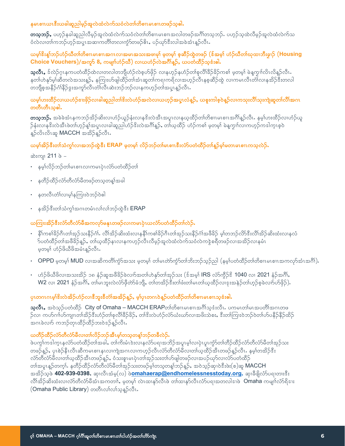#### နမၤစၢၤယၤဇီးယခါဆူညါမှဉ်အူလဲထံလဲက်သဝံလဲတၢ်တိစၢၤမၤစၢၤတဖဉ်သ့ဓါ.

တသူဘဉ်, ပဟ္နဉ်နခါဆူညါလီမွဉ်အူလဲထံလဲက်သဝံလဲတ၊်တိစၢၤမၤစၢၤအလါတဖဉ်အင်္ဂါတသူဘဉ်. ပဟ္နဉ်သူထဲလီမွဉ်အူလဲထံလဲက်သ ဝံလဲလ၊တါကဘဉ်ဟုဉ်အပူးအဆ၊ကတိၢ်တလ၊ကွံ၁်တဖဉ်ဓိၤ, ပဉ်ယှာ်ဒီးလါအခဲအံၤန္ဉာလီၤ.

#### ယမ္နုန္းန္(ဘဉ်ဟံဉ်ယီတ၊်တိစၢၤမၤစၢၤအဂၤလ၊အမၤအသးအဖ၊မု၊် မှတမ္န၊် စုဆီဉ်ထွဲတဖဉ် (န်အမ္န၊် ဟံဉ်ယီတ၊်ယုထ၊ဘီးချာဉ် (**Housing** Choice Vouchers)/အကူ9် 8, ကမျက်ဟံဉ်ယီ) လာယဟံဉ်လဲအင်္ဂါန္ဉာ်, ယပတံထိဉ်သူဇံးဓါ.

**သူလီၤ,** ဒ်လဲဉ်ဂူၤနကပတံထိဉ်ထဲလ၊တလါတဘျိဟံဉ်လဲစူဟ်ဖိုဉ် လၢနဟူဉ်နဟံဉ်တၢ်စုလိၢ်ခိဉ်ခိဉ်ကစၢ် မှတမှ၊် မဲနူကျှ၊်လိၤလိန္ဉာလီၤ နတၢ်ဟဲနှာ်မွှ၊်ဆီတလဲအသးနူဉ်, နကြုးဟ်ဖျါထိဉ်တ၊်အံၤဆူတ၊်ကရၢကရိလၢအဟုဉ်လီၤနစ္စဆီဉ်ထွဲ လၢကမၤလီၤတံ၊်လ၊နအိဉ်ဒီးတလါ တဘျိစ့အနိဉ်ဂံၢိနိဉ်ဒွးအကူာ်လီၤတံၢ်လီၤဆဲးဘဉ်ဘဉ်လၢနကဟ္ဉ်ာတၢ်အပူၤန္ဉာ်လီၤ

#### ယမ္န္ပ္ပ်က္မႈထွဥလာကလည္ခံေႏၚဥလာရခန္႔သူသြားႏွင့္အလွယ္မွာလွယ္မွတ္မွတ္မွတ္မွတ္ခဲ့တာ ကစားသူေတြေတာ့ အေျပာျပည္တယ္မွာလ တတီၤတီၤသ္ဓါ.

**တသူဘဉ်.** အခဲခဲအံၤနကဘဉ်အိဉ်ဆိးလ၊ဟံဉ်ယူဉ်နံးလ၊နဒိးလဲအီၤအပူၤလ၊နယ္နထိဉ်တၢ်တိစၢၤမၤစၢၤအဂိၢိန္ဉ်လီၤ. နမ္န၊်ဟးထိဉ်လ၊ဟံဉ်ယူ ဉ်နံးလၢနဒိးလဲအီၤဖဲတ၊်ဟုဉ်န့၊်အပူၤလ၊ခါဆူညါဟံဉ်ဒိးလဲအဂ်ိါန္ဉာ်, တ၊်ယူထိဉ် ဟံဉ်ကစ၊် မူတမှ၊် မဲနူကှၢါလ၊ကဟုဉ်ကဒါကူၤစူဝဲ န္Pလိၤလိၤဆူ MACCH အအိ>်န္Pလီၤ.

# ယမ္န္ပါအိုဉ်ဒီးတ္ပါသံကွၤ်လ္၊အဘဉ်ထွဲဒီး ERAP မှတမ္န၊် လိဉ်ဘဉ်တျ်မၤစၢၤဒီးလံာ်ပတံထိဉ်တ၊်နူဉ်မ္န၊်မတၤမၤစၢၤကသူလဲဉ်ႉ

**ဆဲးကျ၊ 211** စဲ –

- နမ္နါလိဉ်ဘဉ်တါမၤစၢၤလၢကမၤပုံၤလံာပတံထိဉ်တါ
- နတိဉ်ထိဉ်လံာ်တီလံာ်မိတဖဉ်တသ္မတန္နါအခါ
- နတလီၤတံၤ်လၢမၟ႞နကြၢးဝဲဘဉ်ဝဲဓါ
- နအိုဉ်ဒီးတါသံကွါအဂၤတမံၤလါလါဘဉ်ထွဲဒီး ERAP

#### ယကြၢးအိဉ်ဒီးလံာ်တီလံာ်မီအကလှာ်မနုၤတဖဉ်လၢကမၤပုံၤယလံာ်ပတံထိဉ်တၢ်လဲဉ်.

- နိုၤ်ကစ္ပါခ်ိုဉ်ဂီၤတ၊်အုဉ်သးနိဉ်ဂုံ၊ လိ၊်အိဉ်ဆိုးထံးလ၊နနိၤ်ကစ္ပါခ်ိုဉ်ဂိုၤတ၊်အုဉ်သုံးနိဉ်ဂုံ၊အဖီခိဉ် မွ၊်တဘဉ်လိာဒီးလီ၊အိဉ်ဆိုးထံးလ၊နှလံ ာ်ပတံထိဉ်တၢ်အဖီခိဉ်နူဉ်, တ၊်ယ့ထိဉ်နၤလ၊နကဟုဉ်လီၤလိမ့ဉ်အူလဲထံလဲက်သဝံလဲကဒွဲစရိတဖဉ်လ၊အအိဉ်လ၊နမံၤ မှတမှ)် ဟံဉ်ဖိယီဖိအမံၤန္ဉာလီၤႉ
- OPPD မှတမှ) MUD လၢအဆိကတိၢ်ကံ့ဉ်အသး မှတမှ) တျမၤတာ်ကံ့ဉ်တျ်ဘိးဘဉ်သူဉ်ညါ (နမ္ပ္ပါပတံထိဉ်တျ်တိစ္စၢၤမၤစၢၤအကလှာ်အံၤအဂီ)).
- ဟံဉ်ဖိယီဖိလၢအသးအိဉ် ၁၈ နံဉ်ဆူအဖီခိဉ်ခဲလျာ်အတျ်ဟဲနှာ်တ၊်အုဉ်သး (ဒ်အမှ၊် IRS လံာ်ကွီဉ်ဒိ 1040 လ၊ 2021 နံဉ်အင်္ဂါ, W2 လ၊ 2021 နံဉ်အဂိၢ်, တ၊်မၤဘူးလဲလံာ်ဖိုတ်ာခံဘျိ, တ၊်တအိဉ်ဒီးတ၊်ဖံးတ၊်မၤတ၊်ယ္နထိဉ်လ၊ဒုးအနဲဉ်တ၊်ဟုဉ်စုခဲလ၊ာ်ဟ်ဖိုဉ်).

# ပုၤတဂၤဂၤမုါဒိးလဲအိဉ်ဟံဉ်လၢဒိဘူးဒိတံၢ်အအိဉ်န္9်ာ, မ့္ပ်ဴပုၤတဂၤဝဲန္နဉ်ပတံထိဉ်တ၊်တိစၢၤမၤစၢၤသ့ဒံးဓါ.

သလီး အဝဲသဉ်ပတံထိဉ်  $\,$  City of Omaha – MACCH ERAPတ္ပါတိစ္စ္ကားမွာစု)အက္လီးလုံး. ပက္ကမာတ္ပါအေပတိုက္သြက္လာဖ ဉ်လ၊ ကဟ်ဂၢါဟ်ကျ၊ၤတၢ်အိဉ်ဒီးဟံဉ်တၢ်စုလိၢ်ခိဉ်ခိဉ်, တ၊်ဒီးလဲဟံဉ်လံာ်ယံးယာ်လ၊အဖိးသဲစး, ဒီးတ၊်ကြ၊းဝဲဘဉ်ဝဲတ၊်ဟ်ပနိဉ်နိဉ်ထိဉ် အဂၤခဲလၢာ် ကဘဉ်တုၤထိဉ်ထိဉ်ဘးဝဲဒဉ်န္ဉာလီၤ.

#### ယတီဉ်ထီဉ်လံာ်တီလံာ်မီလ၊တၢ်လိဉ်ဘဉ်အီၤမ္၊်တသ္ဓတန္၊်ဘဉ်တခီလဲဉ်.

ဖဲပက္ဂါကဒါကူၤနလံာ်ပတံထိဉ်တၢ်အခါႇ တၢ်ကိႈမံၤဲဒးလၢနလံာ်ပရၢအဘိဉ်အပူၤမ္၊်လၢပုံၤပူၤက္ငံာ်တၢ်တိဉ်ထိဉ်လံာ်တိလံာ်မိတၢ်အှဉ်သး တဖဉ်န္ဉာ်, ပုၤစဲဉ်နီၤလီၤဆီကမၤစၢၤနၤလၢကဲျအဂၤလၢကဟ္နာ်လီၤလံာ်တီလံာ်မီလ၊တၢ်ယ္နထိဉ်အီၤတဖဉ်န္ဉာ်လီၤ. နမ္န၊်တအိဉ်ဒီး လံာ်တီလံာ်မီလ၊တၢ်ယ့ထိဉ်အီၤတဖဉ်နူဉ်, ဝံသးစူၤမၤပုံၤတၢ်အုဉ်သးတၢ်ဟ်ဖျါတဖဉ်လ၊အပဉ်ယှာ်လ၊လံာ်ပတံထိဉ် တၢ်အပူးန္ဥတက္နၤ်နတိဉ်ထိဉ်လံာ်တိလံာမိတ၊်အုဉ်သးတဖဉ်မ့ၢ်တသ့တန္၊်ဘဉ်န္ဥ်ာ, အဝဲသ္ဥခံရာ၊ဝဲဒီးဖဲး(စ)ဆူ MACCH အအိဉ်သဲ့ဖဲ **402-939-0398,** ဆု၊လီၤအံမ့(လ) ဖ<mark>ဲ**omahaerap@endhomelessnesstoday.org,** ဆု၊</mark>ခီဖျိလ်ာ်ပရၢတားဒီး လိ၊်အိဉ်ဆိးထံးလ၊လံာ်တီလံာ်မီအံၤအကတၢါ, မှတမှ၊် လဲၤထ၊နုာ်လီၤဖဲ တ၊်ထ၊နုာ်လီၤလံာ်ပရ၊အတလါဒ၊ဖဲ **Omaha** ကမျ၊ၢ်လံာ်ရိဒၢး (Omaha Public Library) တတိၤလ်လ်သေ့နဉ်လီး.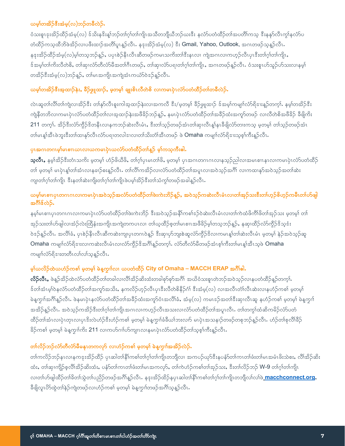# ယမ္န္ကုတအိုဉ်စီးအံမ္နွ(လ္)ဘဉ်တခ်ီလဲဉ်.

ဝံသးစူၤဒုးအိဉ်ထိဉ်အံမှ(လ) ဒ်သိႏနဒိႏန္1ဘဉ်တၢ်ဂူါတ၊်ကျိၤအသိတဘျိယီဘဉ်ယးဒီး နှလံာ်ပတံထိဉ်တ၊်အပတိၢ်ကသူ ဒီးနနှာ်လီၤကွ၊်နှလံာ်ပ တံထိဉ်ကသူထိဘိဖဲအိဉ်လ၊ပဖီးထ၊ဉ်အတိၢ်ပူ၊နူဉ်လီး. နဒုးအိဉ်အံမှ(လ) နီး Gmail, Yahoo, Outlook, အဂၤတဖဉ်သူနူဉ်လီး. နဒုးအိဉ်ထိဉ်အံမှ(လ)မ့္ပ်တသူဘဉ်နူဉ်ႇ ပပုၤစဲဉ်နိၤလီၤဆီတဖဉ်ကမၤသကိႏတၤ်ဒီးနၤလ၊ ကျဲအဂၤလၢကဟူဉ်လီၤပုၤဒီးတၢ်ဂ့္ပ်တ္ကြူ၊ ဒ်အမှ္ပါတါကိုးလီတဲစိႇ တါဆု၊လံာ်တီလံာ်မီအတါဂီၤတဖဉ်ႇ တါဆု၊လံာ်ပရၢတါဂူါတါကျိုႇ အဂၤတဖဉ်နှဉ်လီၤႇ ဝံသးစူၤဟ်သူဉ်ဟ်သးလၢနမ္နါ တအိဉ်ဒီးအံမှ(လ)ဘဉ်နဉ်, တါမၤအကျိၤအကျဲအံၤကယံာ်ဝဲဒဉ်နဉ်လီၤ.

# ယမ္န္ပါတအိဉ်ဒီးအ့ထျဉ်နဲး, ခ်ီဉ်ဖျထျဉ်, မ့တမ္န၊် ချူးစိၤလီတဲစိ လၢကမၤပုံၤလံာ်ပတံထိဉ်တ၊်တခီလဲဉ်.

လဲၤဆူတၤ်လိၤ်တၤ်ကျဲလၤအိဉ်ဒီး တၤ်နှာ်လီၤစူးကါအူထၢဉ်နဲးလၤအကလီ ဒီး/မူတမှၤ် ခိဉ်ဖျထၤဉ် ဒ်အမူၤ်ကမျπ်လံာ်ရိဒၤးနူဉ်တက္ၤ် နမူၤ်တအိဉ်ဒီး ကျဲနီတဘိလ၊ကမၤပုံၤလံာ်ပတံထိဉ်တၢ်လ၊အ့ထ၊ဉ်နဲးအဖီခိဉ်ဘဉ်နှဉ်, နမၤပုံၤလံာ်ပတံထိဉ်တၢ်အခိဉ်ထံးအကှာ်တဖဉ် လ၊လီတဲစိအဖီခိဉ် ခီဖျိကိႏ 211 တက္). အိဉ်ဒီးလံာ်ကွိဉ်ဒိတနီၤလၢနကဘဉ်ဆဲးလီၤမံၤႇ ဒီးတၢ်သ့ဉ်တဖဉ်အံၤတၢ်ဆု၊လီၤန္န၊်န၊ခီဖျိလံာ်တားကသူ မှတမှ၊် တၢ်သူဉ်တဖဉ်အံၤ တါမၤန္၊်အီၤဖဲဘူးဒီးတ၊်ထၢနုၥ်လီၤလံာပရၢတလါဒၤလ၊တ၊်သိးတံ၊်အီၤတဖဉ် ဖဲ Omaha ကမျ၊ၢ်လံာ်ရိဒၢးသစ္၊်ကီးနဉ်လီၤ

# ပုံးအဂၤတဂၤမ့္ပ်မၤစၢၤယၤလၢယကမၤပုံၤယလံာ်ပတံထိဉ်တ္ပ်န္၌ မ့္ပ်ကသူကီးဓါ.

**သူလီၤ,** နမ့္ပ်က္ဆိဉ်ဒီးတံၤသကိႏ မူတမူ် ဟံဉ်ဖိယီဖိ, တ၊ဂူ၊်ပုၤမၤတၢ်ဖိ, မူတမူ၊် ပုၤအဂၤတဂၤဂၤလၢနသူဉ်ညါလၢအမၤစၢၤနၤလၢကမၤပုံၤလံာပတံထိဉ် တါ မှတမှါ မၤပုဲၤန္1်တါအံၤလၢနခၢဉ်စးန္ဥ်ာလီၤႉ တါလိၢိကအိဉ်လ၊လံာပတံထိဉ်တါအပူၤလ၊အဝဲသူဉ်အဂိၢိ လ၊ကထ၊နုာ်အဝဲသူဉ်အတၢ်ဆဲး ကျ၊တၢ်ဂ့ၢ်တ၊်ကျိၤ ဒီးနတၢ်ဆဲးကျိးတ၊်ဂ့ၢ်တ၊်ကျိၤဖဲပမ့ၢ်အိဉ်ဒီးတ၊်သံကွ၊်တဖဉ်အခါနူဉ်လီၤ

# ယမ္န၊်မၤစၢၤပုၤတဂၤဂၤလၢကမၤပုံၤအဝဲသူဉ်အလံာ်ပတံထိဉ်တၢ်ဖဲးကဲးဘိဉ်နူဉ်, အဝဲသူဉ်ကဆဲးလီၤမံၤလၢတၢ်အုဉ်သးဒီးတၢ်ဟုဉ်စိဟုဉ်ကမီၤတၢ်ဟ်ဖျါ အဂ်ိဳးစ်လဲဉ်.

နမ့္ပ်မၤစၢၤပုၤတဂၤဂၤလၢကမၤပုဲၤလံာ်ပတံထိဉ်တၢ်ဖဲးကဲးဘိဉ် ဒီးအဝဲသ့ဉ်အနိၤ်ကစၢ်ဒဉ်ဝဲဆဲးလီၤမံၤလ၊တၢ်ကဲထံဖိကိၢ်ဖိတၢ်အှဉ်သး မှတမ့္ပ် တ၊် အုဉ်သးတၢ်ဟ်ဖျါလ၊အံ့ဉ်လဲးထြိန်းအကျိၤအကျဲတကပၤလ၊ တၢ်ယ္ထိုိာစ္စတ၊်မၤစၢၤအဖီခိဉ်မ္၊်တသ္စာာဉ်န္ဉ်, နဆု၊ထီဉ်လံာ်ကိုဉ်ဒိသုဒံး ၀ဲနဉ်နည်လီး အလိၢ်ခံ, ပုၢစဉ်နီးလီးဆီကဆဲးကျပုၤတဂၤ၀ဲန္ဉာ် ဒီးဆု၊ပုာ်ဘူးစဲဆူလံာ်ကွိဉ်နိလၤကမၤန္၊်တ၊်ဆဲးလီးမံၤ မူတမ္၊် နဲဉ်အ၀ဲသူဉ်ဆူ Omaha ကမျာ်လံာ်ရိုဒူးလ၊ကဆဲးလီၤမံၤလ၊လံာ်ကွိဉ်ဒိအင်္ဂါန္ဥာ်တက့ါ. လံာ်တီလံာ်မိတဖဉ်အံၤစ့ါကီးတါမၤန္နါအီၤသ့ဖဲ Omaha ကမျက်လံာ်ရိုဒၢးတတိၤလၢ်လျသူနဉ်လီၤ.

# မ္န္ဂါယလိုဉ်ထဲယဟံဉ်ကစ္ဂါ မူတမ္န္ကို မဲန္ၾက္လ္ကုလ၊ ယပတ္ထံထိဉ် City of Omaha – MACCH ERAP အင်္ဂါေ

လိ**်ုလီၤ**, ဖဲန္ဥ်အိ့ဉ်ထဲလံာ်ပတံထိဉ်တၢ်တခါလ၊လိၢ်အိ့ဉ်ဆိးထံးတခါစုာ်စုာ်အဂိၢ် အယိဝံသးစူၤတဲဘဉ်အဝဲသူဉ်လ၊နပတံထိဉ်နူဉ်တကူး် ဒ်တါအံၤမ္ါဝဲနလံာ်ပတံထိဉ်တါအကူာ်အသိး, နကလိဉ်ဟူဉ်လီၤပုၤဒီးလီတဲစိနိဉ်ဂံ၊် ဒီးအံမှ(လ) လၢအလီၤတံ၊်လီၤဆဲးလၢနဟံဉ်ကစၢ် မှတမှါ မဲနူကွn်အဂိၢိန္ဉ်လီၤႉ ဖဲနမၤပုံၤနလံာ်ပတံထိဉ်တ၊်အခိဉ်ထံးအကူာ်ဝံၤအလိၢ်ခံႇ အံမှ(လ) ကမၤဒဉ်အတၢ်ဒီးဆု၊လီၤဆူ နဟံဉ်ကစၢ် မူတမှ၊် မဲနူကွn် အအိဉ်နဉ်လီၤႉ အဝဲသွဉ်ကအိဉ်ဒီးတၢ်ဂွါတၢ်ကျိၤအဂၤလၢကဟွဉ်လီၤအသးလၢလံာ်ပတံထိဉ်တၢ်အပူၤလီၤႉ တၢ်တကွၢ်ထံဆိကမိဉ်လံာ်ပတံ ထိဉ်တါအံၤလၢပုံၤတုၤလၢပုၤဒိးလဲဟံဉ်ဒီးဟံဉ်ကစါ မူတမူ၊် မဲနူကျ၊်ခံခီယ၊်ဘးလ၊ာ် မၤပုံၤအသနၢဉ်တဖဉ်တစုဘဉ်နူဉ်လီၤ. ဟံဉ်တ၊်စုလီ၊်ခီဉ် ခိဉ်ကစါ မှတမှါ မဲန့ကွၢါကိႈ 211 လ၊ကဟ်ဂၢါဟ်ကျ၊ၤလ၊နမၤပုံၤလံာ်ပတံထိဉ်တါသစ္စါကီးနဉ်လီၤ

# တ၊်လိဉ်ဘဉ်လံာ်တီလံာ်မီမနုၤတကလုာ် လၢဟံဉ်ကစ၊် မှတမှ၊် မဲနူကှၢါအအိဉ်လဲဉ်.

တါကလိဉ်ဘဉ်နၤလၢနကဒုးအိဉ်ထိဉ် ပုၤဆါတၢိနိၢ်ကစါတါဂုါတါကျိၤတဘျိလ၊ အကပဉ်ယှာ်ဒီးနပနံာ်တါကၤတါဖံးတါမၤအမံၤဖိးသဲစး, လိၢိအိဉ်ဆိး ထံး, တါဆု၊ကျိဉ်စ့လိၤ်အိဉ်ဆိးထံး, ပနံ့ဝ်တါကၤတါဖံးတါမၤအကလု9်, တါကဲဟံဉ်ကစါတါအုဉ်သး, ဒီးတါလိဉ်ဘဉ် W-9 တါဂုါတါကျိၤ လ၊တၢ်ဟ်ဖျါထိဉ်တၢ်ခိတၢ်သွဲတၢ်ပညိဉ်တဖဉ်အဂိၢိန္ဉာလီၤ. နနးအိဉ်ထိဉ်နပုၤဆါတၢ်နိၢ်ကစၢ်တၢ်ဂုၢ်တၢ်ကျိၤတဘျိလ၊်လ၊်ဖ<mark>ဲ macchconnect.org,</mark> ခီဖျိလူၤပိ>်ထွဲတၤ်နဉ်ကျဲတဖဉ်လၢဟံဉ်ကစၢ် မှတမ့ၢ် မဲနူကှၢၤ်တဖဉ်အဂိၢ်သွန္ ဉ်လီၤ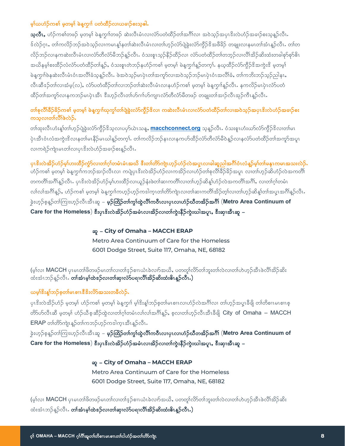#### မှု၊်ယဟံဉ်ကစၢ် မှုတမှု၊် မဲနု့ကျာ် ပတံထိဉ်လာယခၢဉ်စးသူဓါ.

သူလီး, ဟံဉ်ကစ္ပါတဖဉ် မှတမှု၊ မဲနုက္ခု၊တဖဉ် ဆဲးလီးမံၤလ၊လံာပတံထိဉ်တ၊်အင်္ဂါလ၊ အဝဲသူဉ်အပုၤဒိးလဲဟံဉ်အခၢဉ်စးသူနဉ်လီး န်လဲဉ်ဂူး, တၢ်ကလိဉ်ဘဉ်အဝဲသူဉ်လ၊ကမၤန္န၊်နတ၊်ဆဲးလီၤမံၤလ၊တ၊်ဟုဉ်လံာ်ပျဲခွဲးလံာ်ကွိဉ်နိအဖိခိဉ် တချုးလ၊နမၤတ၊်အံၤန္ဉာလီၤႉတ၊်တ လိဉ်ဘဉ်လ၊နကဆဲးလီၤမံၤလ၊လံာ်တီလံာ်မီဘဉ်နဉ်လီၤႉ ဝံသးစူၤသ္ဉ်နီဉ်ထီဉ်လ၊ လံာ်ပတံထီဉ်တ၊်တဘ္ဉ်လ၊လီၤ်အိဉ်ဆိးထံးတခါစုာ်စုာ်၆ၤ အယိနမ္န္ကစ္၊ထိဉ်လံလံာပတံထိဉ်တ္နန္နာ်, ၀ံသႏစူးတဲဘဉ်နဟံဉ်ကစ္ပါ မူတမ္နါ မဲန္ၾကူးန္ဥတက္နႈ. နယ္နထိဉ်လံာက္ရီဉ်ဒိအကွဲႏဒိ မူတမ္န မဲနူကျပ်နဆဲးလီးမံးဝံးအလိုးခံသူနဉ်လီး. ဖဲအဝဲသွဉ်မၤပုံးတ၊်အကွာ်လ၊အဝဲသွဉ်ဘဉ်မၤပုံးဝံးအလိုးခံ, တ၊်ကဘိးဘဉ်သွဉ်ညါနး, လီၤဆီဒဉ်တါလ၊အံမှ(လ), လံာ်ပတံထိဉ်တါလ၊ဘဉ်တါဆဲးလီၤမံၤလ၊နဟံဉ်ကစါ မှတမှါ မဲန့က္ခၢါန္ဥာလီၤ. နကလိဉ်မၤပုဲၤလံာ်ပတံ ထိဉ်တၢ်အကူာ်လၢနုကဘဉ်မၤပုံၤအီၤ ဒီးဟူဉ်လီၤတ၊်ဟ်ဂၢၢ်ဟ်ကျၤလံာ်တိလံာ်မိတဖဉ် တချုးတ၊်အၢဉ်လီၤအုဉ်ကီၤန္ဉာ်လီၤ

# တၢ်စုလိၢိခဵဉ်ခိဉ်ကစၢ် မှတမှၤ် မဲနူကွၢါဃုကွၢ်တၢ်ပျဲခွဲးလံာ်ကွဵဉ်ဒိလ၊ ကဆဲးလီၤမံၤလ၊လံာပတံထိဉ်တၢ်လၢအဝဲသူဉ်အပုၤဒိးလဲဟံဉ်အခၢဉ်စး ကသ့လၢတၢ်လိၢ်ဖဲလဲဉ်.

တါထုးလီၤဟံးန္1့်တာ်ဟူဉ်ပျဲခွဲးလံာ်ကွိဉ်ဒိသူလၢပၦာ်ယဲၤသန္**, <u>macchconnect.org</u> သူန္**ဉ်လီၤ. ဝံသးစူၤဟံးဃာ်လံာ်ကွိဉ်ဒိလၢတာ်မၤ ပုံၤအီၤဝံၤလံအကွဲးဒိလၢနတၢ်မၤနိဉ်မၤယါန္ဥတက္မ္ပါ. တၢဴကလိဉ်ဘဉ်နၤလၢနကဟ်ထိဉ်လံာ်တီလံာ်မီဝဲန္ဥလၢနလံာ်ပတံထိဉ်တၢ်အကူာ်အပူၤ လ၊ကရဲဉ်ကျဲ၊မၤတၢ်လ၊ပုၤဒိးလဲဟံဉ်အခၢဉ်စးနဉ်လီၤ.

ပုၤဖိးလဲအိဉ်ဟံဉ်မှု၊်ဟးထိဉ်ကွံာ်လ၊တ၊်ဂူ၊်တမံၤမံၤအယိ ဖီးတ၊်တိာ်ကျဲ၊ဟူဉ်ဟံဉ်လဲအပူၤလ၊ခါဆူညါအဂိၢိဝံၤလံန္ဉာမှု၊်တ၊်မနုၤကမၤအသးလဲဉ်. ဟံဉ်ကစါ မှတမ့ါ် မဲနူကွၢါကဘဉ်အ၊ဉ်လီၤလ၊ ကပျဲပုၤဒိးလဲအိဉ်ဟံဉ်လ၊ကအိဉ်လ၊ဟံဉ်တၢ်စုလိၢ်ခိဉ်ခိဉ်အပူၤ လ၊တ၊်ဟူဉ်ဆိဟံဉ်လဲအကတိ၊် တကတိၢိအဂိၢိန္ဥ်လိၤႉ ပုၤဒိးလဲအိဥ်ဟံဥိမ္၊်ဟးထိဥ်လ၊ယူဥ်နံးဖဲတ၊်ဆ၊ကတိ၊်လ၊တ၊်ဟူဥ်ဆိန္၊်ဟံဥ်လဲအကတိ၊်အဂိၢ်ႇ လ၊တ၊်ဂ္ဂါတမံၤ လါလါအဂိါန္ဉာ်, ဟံဉ်ကစါ မ့တမ့ါ မဲန့ကၠၢါကဟ္ဉာ်ဟ္ဥာ်ကဒါက္ၤတါတိာ်ကျဲၤလ၊တါဆ၊ကတိၢ်အိဉ်တ့ါလ၊တါဟ္ဥာဆိန္၊်တါအပူၤအဂိါန္ဥာလီၤ ခဲ့းဟုဉ်စုနဉ်တာ်ကြားဟုဉ်လီၤအီၤဆူ – မှ**ဉ်ထြိဉ်တၢ်ကွၤ်ထွဲလိၤ်ကဝီၤလၤပုၤလၤဟံဉ်ယီတအိဉ်အင်္ဂါ (Metro Area Continuum of** Care for the Homeless) ဒီးပုၤဒိးလဲအိဉ်ဟံဉ်အမံၤလ၊အိဉ်လ၊တ၊်ကွဲးနိဉ်ကွဲးဃါအပူၤ, ဒီးဆု၊အီၤဆူ –

#### ဆူ – City of Omaha – MACCH ERAP

Metro Area Continuum of Care for the Homeless 6001 Dodge Street, Suite 117, Omaha, NE, 68182

(မ့္ပ်လ္၊ MACCH ပုၤမၤတ္ပါဖိတဖဉ်မၤတ္ပါလ္၊တ္ပါဒ္ ဉ်စ္၊ၤယံၤခဲလ္မွာအသိႇ ပတ္စတ္ပါလိုတ္ပါဘူးတ္ပါလဲလ္၊တ္ပါဟဲဟ္ဥတီးဖဲလို၊အိဉ်ဆိုး ထံးအံၤဘဉ်နဉ်လိၤ. တၢ်အံၤမ့ၢ်ထဲစဉ်လ၊တ၊်ဆု၊လံာ်ပရ၊လိၢ်အိဉ်ဆိးထံးမိၤန္နဉ်လီၤ.)

# ယမ္နုန္းန္)သဉ္စစ္စတ္ပုံမႈစ္႐ႈန္မွန္မႈလွွည္ေသးထခ်ဳွဟင္မွာ

ပုၤနီးလဲအိဉ်ဟံဉ် မှတမွှ၊် ဟံဉ်ကစ္စ၊် မှတမွှ၊် မဲန့ကွၢ၊် မွှါနိုးနှု၊်ဘဉ်စွတျ်မၤစၢၤလ၊ဟံဉ်လဲအဂို၊်လ၊ တ၊်ဟွဉ်အပူၤခီဖျို တ၊်တိစၢၤမၤစၢၤစ့ တိာ်ဟ်လီၤဆီ မဲ့တမ္န၊် ဟဉ်ယီစုဆိုဉ်ထွဲလ၊တၢ်ဂ္ဂါတမံၤလ၊်လ၊်အဂိၢ်န္ဉ်, စုလ၊တ၊်ဟွဉ်လီၤအီၤခီဖျိ City of Omaha – MACCH ERAP တ၊်တိာ်ကျဲ၊ နဉ်တ၊်ကဘဉ်ဟွဉ်ကဒါက္မ၊ အီးနဉ်လီး.

ခဲ့းဟ့ဉ်စ့နဥ်တာ်ကြားဟ့ဉ်လီၤအီၤဆူ – မှဉ်ထြိဉ်တာ်ကွ $\mathsf{f}$ ထွဲလီၢ်ကဝီၤလၢပုၤလၢဟံဉ်ဃီတအိဉ်အဂီ၊် (Metro Area Continuum of Care for the Homeless) စီးပုၤဖိးလဲအိဉ်ဟံဉ်အမံၤလ၊အိဉ်လ၊တ၊်ကွဲးနီဉ်ကွဲးဃါအပူၤႇ ဖီးဆု၊အီၤဆူ –

#### ಞ - City of Omaha - MACCH ERAP

Metro Area Continuum of Care for the Homeless 6001 Dodge Street, Suite 117, Omaha, NE, 68182

(မ့္ပ်လ၊ MACCH ပုၤမၤတ္ပါဖိတဖဉ်မၤတ္ပါလ၊တၢဴဒ့ဉ်စၢၤယံၤခဲလျာ်အယိႇ ပတတူ၊်လိာတ္ပါဘူးတ၊်လဲလ၊တ၊်ဟဲဟ္ဥာ်အီၤဖဲလိ၊်အိဉ်ဆိႏ ထံးအံၤဘဉ်န္ဉ်လိၤ. တါအံၤမ္န္ပါထဲစဉ်လ၊တါဆု၊လံာ်ပရၢလိၢ်အိဉ်ဆိးထံးမိၤန္ဉ်လီၤ.)